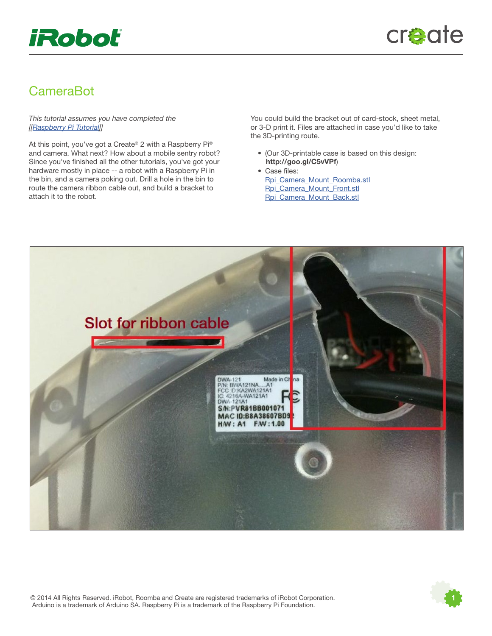

## CameraBot

This tutorial assumes you have completed the [[[Raspberry Pi Tutorial\]](http://www.irobot.com/~/media/MainSite/PDFs/About/STEM/Create/RaspberryPi_Tutorial.pdf)]

At this point, you've got a Create® 2 with a Raspberry Pi® and camera. What next? How about a mobile sentry robot? Since you've finished all the other tutorials, you've got your hardware mostly in place -- a robot with a Raspberry Pi in the bin, and a camera poking out. Drill a hole in the bin to route the camera ribbon cable out, and build a bracket to attach it to the robot.

You could build the bracket out of card-stock, sheet metal, or 3-D print it. Files are attached in case you'd like to take the 3D-printing route.

- (Our 3D-printable case is based on this design: http://goo.gl/C5vVPf)
- Case files: Rpi Camera Mount Roomba.stl [Rpi\\_Camera\\_Mount\\_Front.stl](http://www.irobot.com/~/media/MainSite/Files/About/STEM/Create/rpi_camera_mount_front.stl) [Rpi\\_Camera\\_Mount\\_Back.stl](http://www.irobot.com/~/media/MainSite/Files/About/STEM/Create/rpi_camera_mount_back.stl)